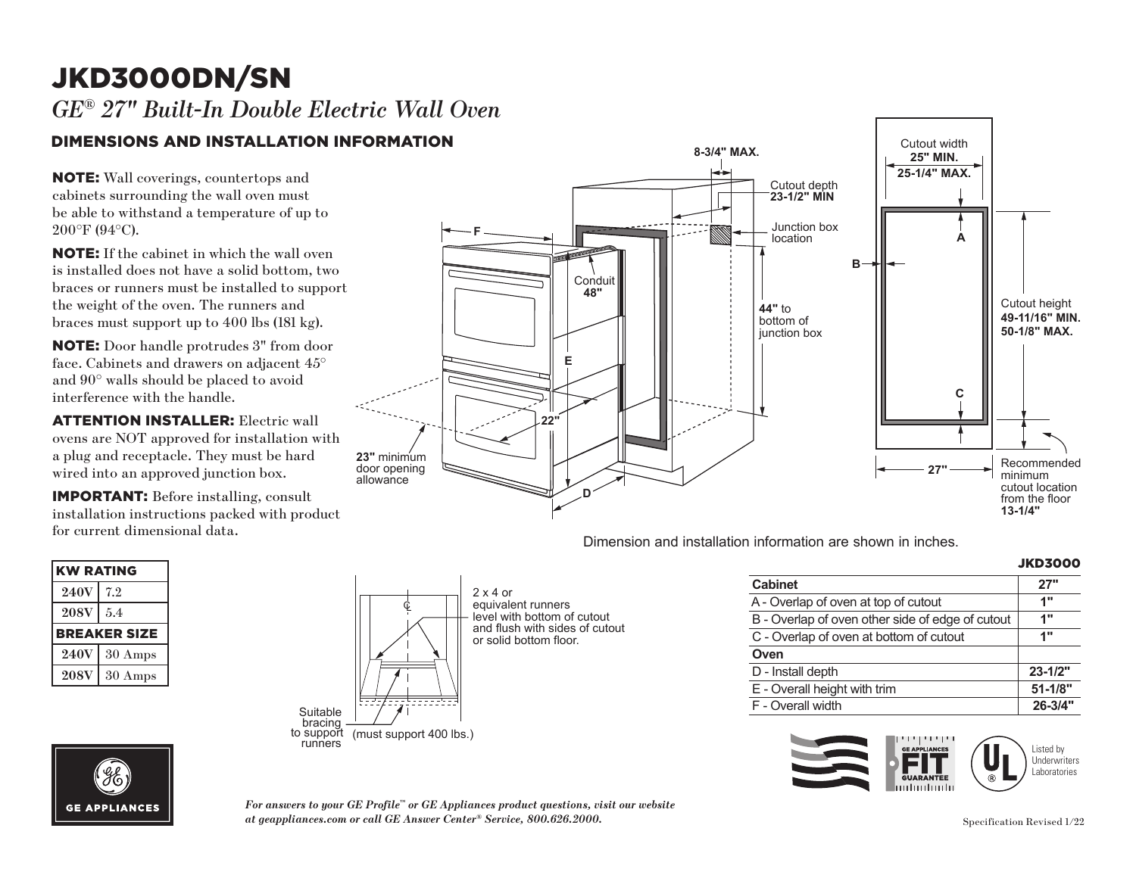# JKD3000DN/SN **F** *GE® 27" Built-In Double Electric Wall Oven*

## DIMENSIONS AND INSTALLATION INFORMATION

NOTE: Wall coverings, countertops and cabinets surrounding the wall oven must be able to withstand a temperature of up to 200°F (94°C).

NOTE: If the cabinet in which the wall oven is installed does not have a solid bottom, two braces or runners must be installed to support the weight of the oven. The runners and braces must support up to 400 lbs (181 kg).

**NOTE:** Door handle protrudes 3" from door face. Cabinets and drawers on adjacent 45° and 90° walls should be placed to avoid and 90 wans should be place<br>interference with the handle. erierence with

**ATTENTION INSTALLER:** Electric wall ovens are NOT approved for installation with a plug and receptacle. They must be hard wired into an approved junction box.

**IMPORTANT:** Before installing, consult  $\frac{1}{2}$  installation instructions packed with product for current dimensional data.

 $\sim$ 

| <b>KW RATING</b>    |                   |  |
|---------------------|-------------------|--|
| <b>240V</b>         | 7.2               |  |
| <b>208V</b>         | 5.4               |  |
| <b>BREAKER SIZE</b> |                   |  |
| <b>240V</b>         | $30 \text{ Amps}$ |  |
| <b>208V</b>         | 30 Amps           |  |
|                     |                   |  |

**GE APPLIANCES** 



Dimension and installation information are shown in inches.

| INTONITIATION ARE SHOWN IN INCHES. |                |
|------------------------------------|----------------|
|                                    | <b>JKD3000</b> |

|                                                  | ,,,,,,,,,,  |
|--------------------------------------------------|-------------|
| <b>Cabinet</b>                                   | 27"         |
| A - Overlap of oven at top of cutout             | 1"          |
| B - Overlap of oven other side of edge of cutout | 1"          |
| C - Overlap of oven at bottom of cutout          | 1"          |
| Oven                                             |             |
| D - Install depth                                | $23 - 1/2"$ |
| E - Overall height with trim                     | $51 - 1/8"$ |
| F - Overall width                                | 26-3/4"     |
|                                                  |             |



*For answers to your GE Profile™ or GE Appliances product questions, visit our website at geappliances.com or call GE Answer Center® Service, 800.626.2000.* Specification Revised 1/22

bracing to support runners (must support 400 lbs.)

Ç

bracing to support runners (must support 400 lbs.)

2 x 4 or<br>equivalent runners

level with bottom of cutout and flush with sides of cutout or solid bottom floor.

2 x 4 or

or solid bottom floor.

Suit*e* 

Suitable<br>bracing

 $\Box$ 

to support (must support 400 lbs.)